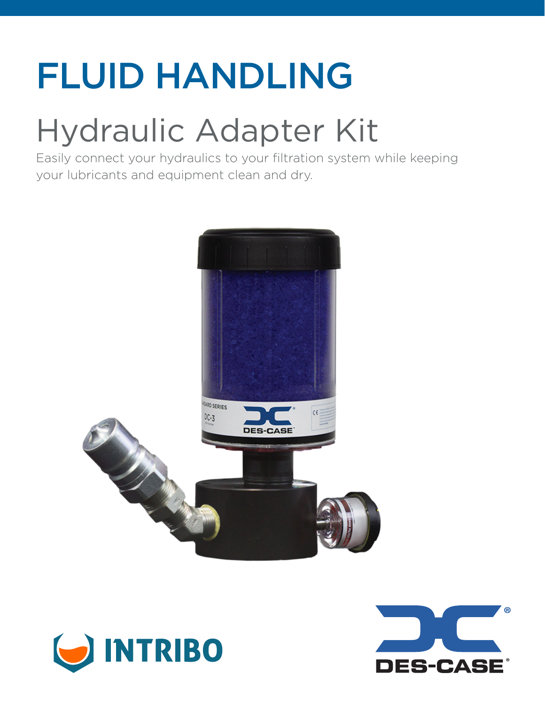# FLUID HANDLING

# Hydraulic Adapter Kit

Easily connect your hydraulics to your filtration system while keeping your lubricants and equipment clean and dry.





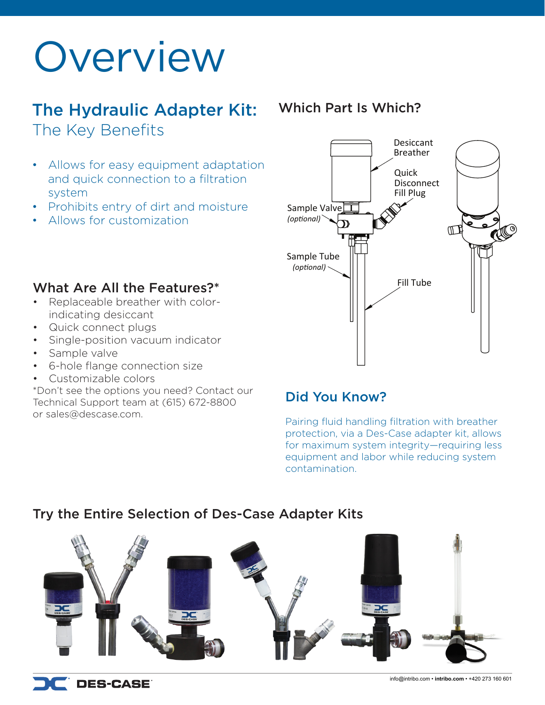# Overview

## The Hydraulic Adapter Kit: The Key Benefits

- Allows for easy equipment adaptation and quick connection to a filtration system
- Prohibits entry of dirt and moisture
- Allows for customization

### Which Part Is Which?



#### What Are All the Features?\*

- Replaceable breather with colorindicating desiccant
- Quick connect plugs
- Single-position vacuum indicator
- Sample valve
- 6-hole flange connection size
- Customizable colors

\*Don't see the options you need? Contact our Technical Support team at (615) 672-8800 or sales@descase.com.

## Did You Know?

Pairing fluid handling filtration with breather protection, via a Des-Case adapter kit, allows for maximum system integrity—requiring less equipment and labor while reducing system contamination.

### Try the Entire Selection of Des-Case Adapter Kits